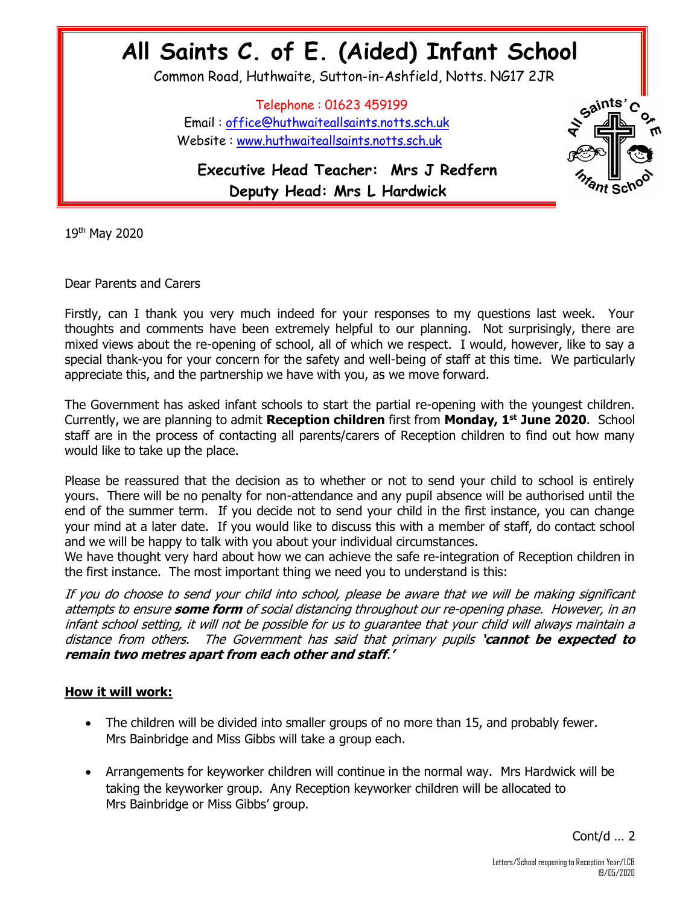# **All Saints C. of E. (Aided) Infant School**

Common Road, Huthwaite, Sutton-in-Ashfield, Notts. NG17 2JR

 Telephone : 01623 459199 Email : [office@huthwaiteallsaints.notts.sch.uk](mailto:office@huthwaiteallsaints.notts.sch.uk) Website : [www.huthwaiteallsaints.notts.sch.uk](http://www.huthwaiteallsaints.notts.sch.uk/)

 $5^{2}$ <sup>ints</sup>

 **Executive Head Teacher: Mrs J Redfern Deputy Head: Mrs L Hardwick**

19th May 2020

Dear Parents and Carers

Firstly, can I thank you very much indeed for your responses to my questions last week. Your thoughts and comments have been extremely helpful to our planning. Not surprisingly, there are mixed views about the re-opening of school, all of which we respect. I would, however, like to say a special thank-you for your concern for the safety and well-being of staff at this time. We particularly appreciate this, and the partnership we have with you, as we move forward.

The Government has asked infant schools to start the partial re-opening with the youngest children. Currently, we are planning to admit **Reception children** first from **Monday, 1st June 2020**. School staff are in the process of contacting all parents/carers of Reception children to find out how many would like to take up the place.

Please be reassured that the decision as to whether or not to send your child to school is entirely yours. There will be no penalty for non-attendance and any pupil absence will be authorised until the end of the summer term. If you decide not to send your child in the first instance, you can change your mind at a later date. If you would like to discuss this with a member of staff, do contact school and we will be happy to talk with you about your individual circumstances.

We have thought very hard about how we can achieve the safe re-integration of Reception children in the first instance. The most important thing we need you to understand is this:

If you do choose to send your child into school, please be aware that we will be making significant attempts to ensure **some form** of social distancing throughout our re-opening phase. However, in an infant school setting, it will not be possible for us to guarantee that your child will always maintain a distance from others. The Government has said that primary pupils **'cannot be expected to remain two metres apart from each other and staff**.**'**

# **How it will work:**

- The children will be divided into smaller groups of no more than 15, and probably fewer. Mrs Bainbridge and Miss Gibbs will take a group each.
- Arrangements for keyworker children will continue in the normal way. Mrs Hardwick will be taking the keyworker group. Any Reception keyworker children will be allocated to Mrs Bainbridge or Miss Gibbs' group.

Cont/d … 2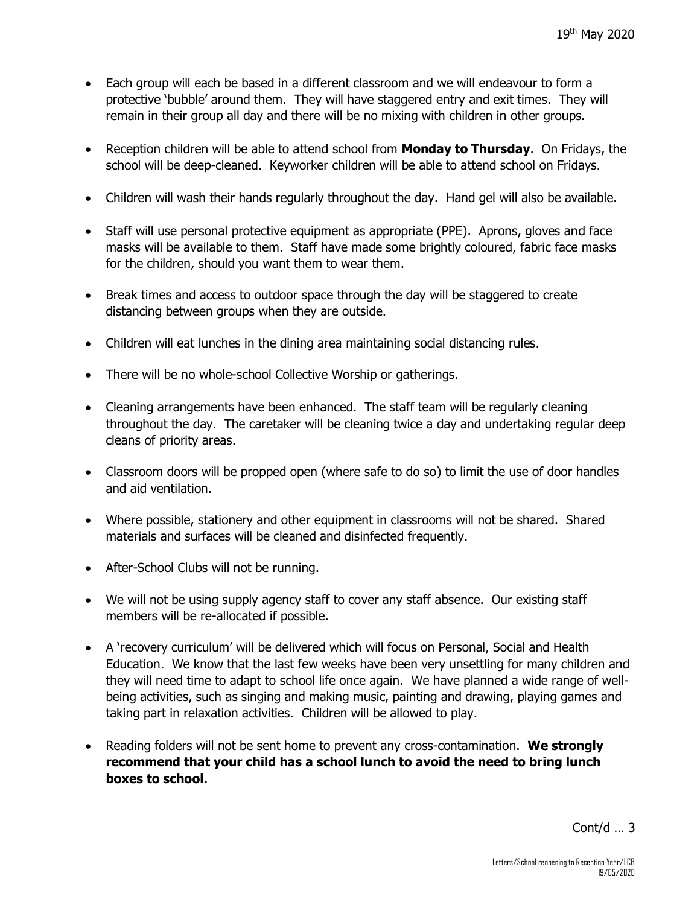- Each group will each be based in a different classroom and we will endeavour to form a protective 'bubble' around them. They will have staggered entry and exit times. They will remain in their group all day and there will be no mixing with children in other groups.
- Reception children will be able to attend school from **Monday to Thursday**. On Fridays, the school will be deep-cleaned. Keyworker children will be able to attend school on Fridays.
- Children will wash their hands regularly throughout the day. Hand gel will also be available.
- Staff will use personal protective equipment as appropriate (PPE). Aprons, gloves and face masks will be available to them. Staff have made some brightly coloured, fabric face masks for the children, should you want them to wear them.
- Break times and access to outdoor space through the day will be staggered to create distancing between groups when they are outside.
- Children will eat lunches in the dining area maintaining social distancing rules.
- There will be no whole-school Collective Worship or gatherings.
- Cleaning arrangements have been enhanced. The staff team will be regularly cleaning throughout the day. The caretaker will be cleaning twice a day and undertaking regular deep cleans of priority areas.
- Classroom doors will be propped open (where safe to do so) to limit the use of door handles and aid ventilation.
- Where possible, stationery and other equipment in classrooms will not be shared. Shared materials and surfaces will be cleaned and disinfected frequently.
- After-School Clubs will not be running.
- We will not be using supply agency staff to cover any staff absence. Our existing staff members will be re-allocated if possible.
- A 'recovery curriculum' will be delivered which will focus on Personal, Social and Health Education. We know that the last few weeks have been very unsettling for many children and they will need time to adapt to school life once again. We have planned a wide range of wellbeing activities, such as singing and making music, painting and drawing, playing games and taking part in relaxation activities. Children will be allowed to play.
- Reading folders will not be sent home to prevent any cross-contamination. **We strongly recommend that your child has a school lunch to avoid the need to bring lunch boxes to school.**

Cont/d … 3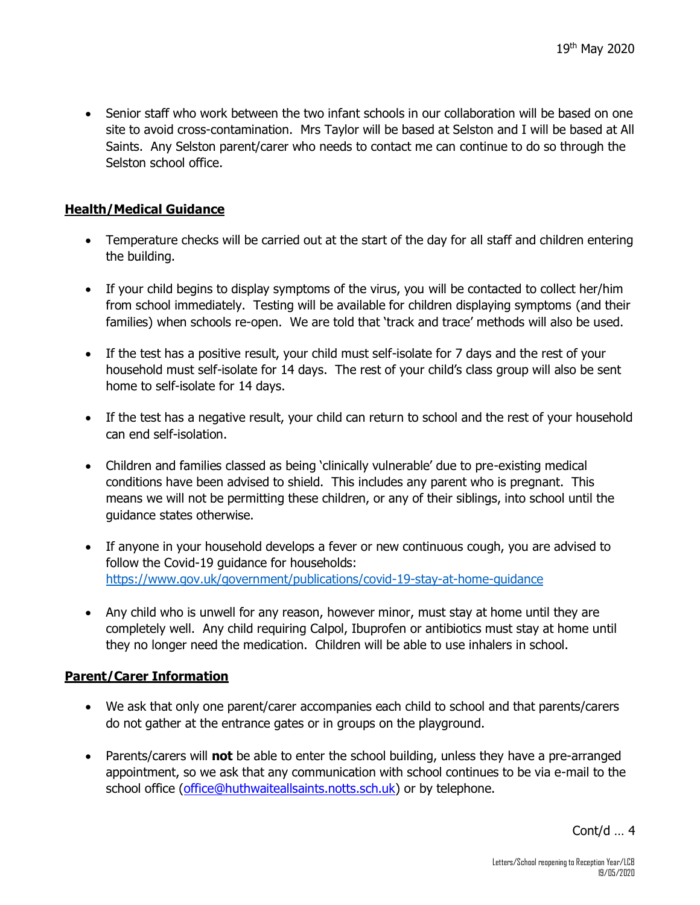• Senior staff who work between the two infant schools in our collaboration will be based on one site to avoid cross-contamination. Mrs Taylor will be based at Selston and I will be based at All Saints. Any Selston parent/carer who needs to contact me can continue to do so through the Selston school office.

## **Health/Medical Guidance**

- Temperature checks will be carried out at the start of the day for all staff and children entering the building.
- If your child begins to display symptoms of the virus, you will be contacted to collect her/him from school immediately. Testing will be available for children displaying symptoms (and their families) when schools re-open. We are told that 'track and trace' methods will also be used.
- If the test has a positive result, your child must self-isolate for 7 days and the rest of your household must self-isolate for 14 days. The rest of your child's class group will also be sent home to self-isolate for 14 days.
- If the test has a negative result, your child can return to school and the rest of your household can end self-isolation.
- Children and families classed as being 'clinically vulnerable' due to pre-existing medical conditions have been advised to shield. This includes any parent who is pregnant. This means we will not be permitting these children, or any of their siblings, into school until the guidance states otherwise.
- If anyone in your household develops a fever or new continuous cough, you are advised to follow the Covid-19 guidance for households: <https://www.gov.uk/government/publications/covid-19-stay-at-home-guidance>
- Any child who is unwell for any reason, however minor, must stay at home until they are completely well. Any child requiring Calpol, Ibuprofen or antibiotics must stay at home until they no longer need the medication. Children will be able to use inhalers in school.

### **Parent/Carer Information**

- We ask that only one parent/carer accompanies each child to school and that parents/carers do not gather at the entrance gates or in groups on the playground.
- Parents/carers will **not** be able to enter the school building, unless they have a pre-arranged appointment, so we ask that any communication with school continues to be via e-mail to the school office [\(office@huthwaiteallsaints.notts.sch.uk\)](mailto:office@huthwaiteallsaints.notts.sch.uk) or by telephone.

Cont/d … 4